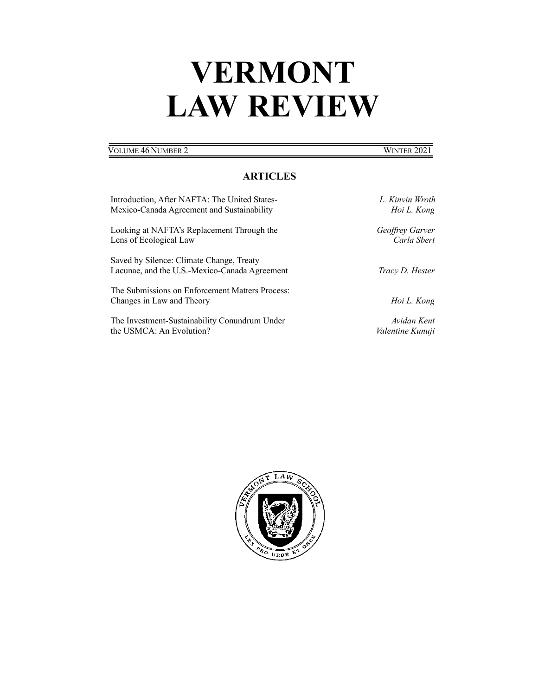# **VERMONT LAW REVIEW**

### **VOLUME 46 NUMBER 2** WINTER 2021

## **ARTICLES**

| Introduction, After NAFTA: The United States-                                             | L. Kinvin Wroth  |
|-------------------------------------------------------------------------------------------|------------------|
| Mexico-Canada Agreement and Sustainability                                                | Hoi L. Kong      |
| Looking at NAFTA's Replacement Through the                                                | Geoffrey Garver  |
| Lens of Ecological Law                                                                    | Carla Sbert      |
| Saved by Silence: Climate Change, Treaty<br>Lacunae, and the U.S.-Mexico-Canada Agreement | Tracy D. Hester  |
| The Submissions on Enforcement Matters Process:<br>Changes in Law and Theory              | Hoi L. Kong      |
| The Investment-Sustainability Conundrum Under                                             | Avidan Kent      |
| the USMCA: An Evolution?                                                                  | Valentine Kunuji |

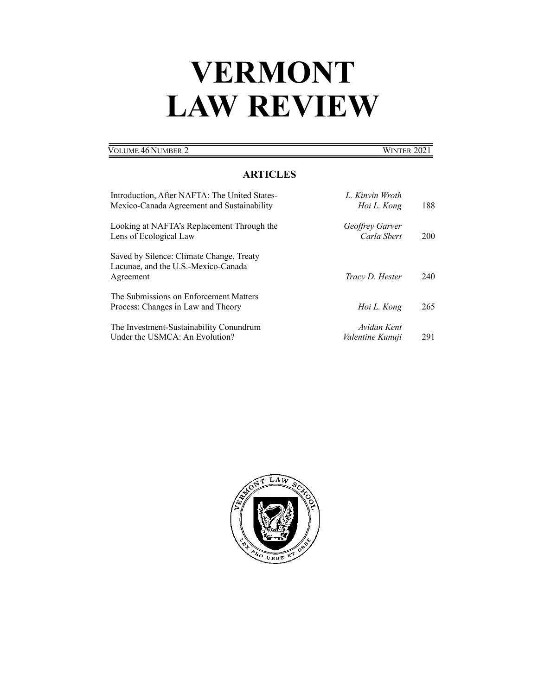# **VERMONT LAW REVIEW**

| Volume 46 Number 2                            | WINTER 2021     |
|-----------------------------------------------|-----------------|
| <b>ARTICLES</b>                               |                 |
| Introduction, After NAFTA: The United States- | L. Kinvin Wroth |

| Mexico-Canada Agreement and Sustainability                                                   | Hoi L. Kong                            | 188 |
|----------------------------------------------------------------------------------------------|----------------------------------------|-----|
| Looking at NAFTA's Replacement Through the<br>Lens of Ecological Law                         | <i>Geoffrey Garver</i><br>Carla Shert  | 200 |
| Saved by Silence: Climate Change, Treaty<br>Lacunae, and the U.S.-Mexico-Canada<br>Agreement | Tracy D. Hester                        | 240 |
| The Submissions on Enforcement Matters<br>Process: Changes in Law and Theory                 | Hoi L. Kong                            | 265 |
| The Investment-Sustainability Conundrum<br>Under the USMCA: An Evolution?                    | Avidan Kent<br><i>Valentine Kunuji</i> | 291 |

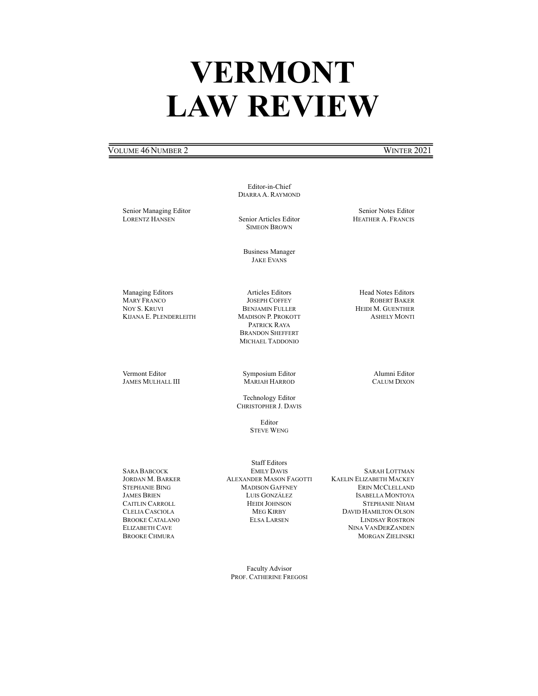# **VERMONT LAW REVIEW**

#### VOLUME 46 NUMBER 2 WINTER 2021

Editor-in-Chief DIARRA A. RAYMOND

Senior Managing Editor LORENTZ HANSEN

Senior Articles Editor SIMEON BROWN

Business Manager JAKE EVANS

Articles Editors JOSEPH COFFEY

Managing Editors MARY FRANCO NOY S. KRUVI KIJANA E. PLENDERLEITH

Vermont Editor JAMES MULHALL III

BENJAMIN FULLER MADISON P. PROKOTT PATRICK RAYA BRANDON SHEFFERT MICHAEL TADDONIO

Symposium Editor MARIAH HARROD

Technology Editor CHRISTOPHER J. DAVIS

> Editor STEVE WENG

SARA BABCOCK JORDAN M. BARKER STEPHANIE BING JAMES BRIEN CAITLIN CARROLL CLELIA CASCIOLA BROOKE CATALANO ELIZABETH CAVE BROOKE CHMURA

Staff Editors EMILY DAVIS ALEXANDER MASON FAGOTTI MADISON GAFFNEY LUIS GONZÁLEZ HEIDI JOHNSON MEG KIRBY ELSA LARSEN

SARAH LOTTMAN KAELIN ELIZABETH MACKEY ERIN MCCLELLAND ISABELLA MONTOYA STEPHANIE NHAM DAVID HAMILTON OLSON LINDSAY ROSTRON NINA VANDERZANDEN MORGAN ZIELINSKI

Faculty Advisor PROF. CATHERINE FREGOSI

Senior Notes Editor HEATHER A. FRANCIS

Head Notes Editors ROBERT BAKER HEIDI M. GUENTHER ASHELY MONTI

> Alumni Editor CALUM DIXON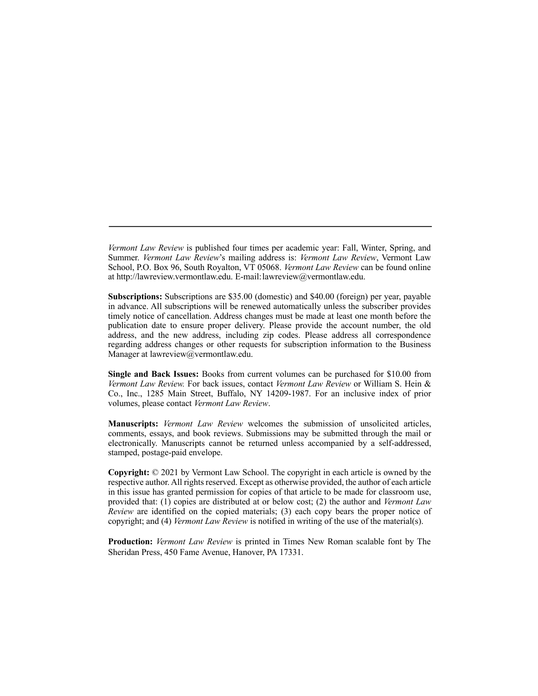*Vermont Law Review* is published four times per academic year: Fall, Winter, Spring, and Summer. *Vermont Law Review*'s mailing address is: *Vermont Law Review*, Vermont Law School, P.O. Box 96, South Royalton, VT 05068. *Vermont Law Review* can be found online at http://lawreview.vermontlaw.edu. E-mail:lawreview@vermontlaw.edu.

**Subscriptions:** Subscriptions are \$35.00 (domestic) and \$40.00 (foreign) per year, payable in advance. All subscriptions will be renewed automatically unless the subscriber provides timely notice of cancellation. Address changes must be made at least one month before the publication date to ensure proper delivery. Please provide the account number, the old address, and the new address, including zip codes. Please address all correspondence regarding address changes or other requests for subscription information to the Business Manager at lawreview@vermontlaw.edu.

**Single and Back Issues:** Books from current volumes can be purchased for \$10.00 from *Vermont Law Review.* For back issues, contact *Vermont Law Review* or William S. Hein & Co., Inc., 1285 Main Street, Buffalo, NY 14209-1987. For an inclusive index of prior volumes, please contact *Vermont Law Review*.

**Manuscripts:** *Vermont Law Review* welcomes the submission of unsolicited articles, comments, essays, and book reviews. Submissions may be submitted through the mail or electronically. Manuscripts cannot be returned unless accompanied by a self-addressed, stamped, postage-paid envelope.

**Copyright:** © 2021 by Vermont Law School. The copyright in each article is owned by the respective author. All rights reserved. Except as otherwise provided, the author of each article in this issue has granted permission for copies of that article to be made for classroom use, provided that: (1) copies are distributed at or below cost; (2) the author and *Vermont Law Review* are identified on the copied materials; (3) each copy bears the proper notice of copyright; and (4) *Vermont Law Review* is notified in writing of the use of the material(s).

**Production:** *Vermont Law Review* is printed in Times New Roman scalable font by The Sheridan Press, 450 Fame Avenue, Hanover, PA 17331.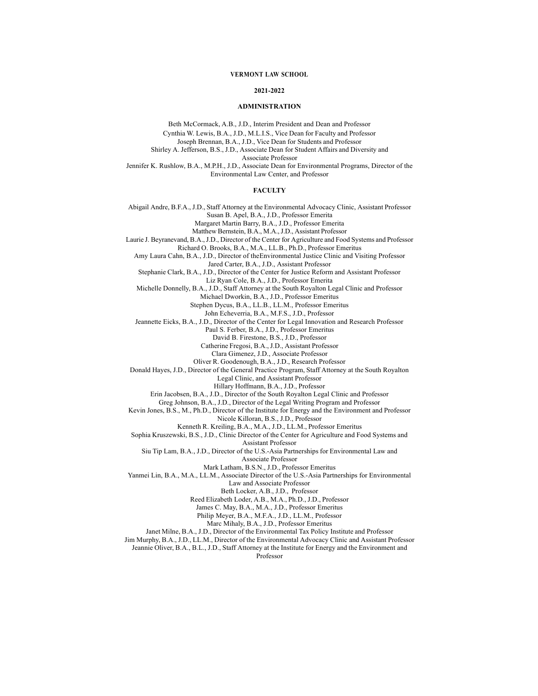#### **VERMONT LAW SCHOOL**

#### **2021-2022**

#### **ADMINISTRATION**

Beth McCormack, A.B., J.D., Interim President and Dean and Professor Cynthia W. Lewis, B.A., J.D., M.L.I.S., Vice Dean for Faculty and Professor Joseph Brennan, B.A., J.D., Vice Dean for Students and Professor Shirley A. Jefferson, B.S., J.D., Associate Dean for Student Affairs and Diversity and Associate Professor Jennifer K. Rushlow, B.A., M.P.H., J.D., Associate Dean for Environmental Programs, Director of the Environmental Law Center, and Professor

#### **FACULTY**

Abigail Andre, B.F.A., J.D., Staff Attorney at the Environmental Advocacy Clinic, Assistant Professor Susan B. Apel, B.A., J.D., Professor Emerita Margaret Martin Barry, B.A., J.D., Professor Emerita Matthew Bernstein, B.A., M.A.,J.D., Assistant Professor Laurie J. Beyranevand, B.A.,J.D., Director of the Center for Agriculture and Food Systems and Professor Richard O. Brooks, B.A., M.A., LL.B., Ph.D., Professor Emeritus Amy Laura Cahn, B.A., J.D., Director of theEnvironmental Justice Clinic and Visiting Professor Jared Carter, B.A., J.D., Assistant Professor Stephanie Clark, B.A., J.D., Director of the Center for Justice Reform and Assistant Professor Liz Ryan Cole, B.A., J.D., Professor Emerita Michelle Donnelly, B.A., J.D., Staff Attorney at the South Royalton Legal Clinic and Professor Michael Dworkin, B.A., J.D., Professor Emeritus Stephen Dycus, B.A., LL.B., LL.M., Professor Emeritus John Echeverria, B.A., M.F.S., J.D., Professor Jeannette Eicks, B.A., J.D., Director of the Center for Legal Innovation and Research Professor Paul S. Ferber, B.A., J.D., Professor Emeritus David B. Firestone, B.S., J.D., Professor Catherine Fregosi, B.A., J.D., Assistant Professor Clara Gimenez, J.D., Associate Professor Oliver R. Goodenough, B.A., J.D., Research Professor Donald Hayes, J.D., Director of the General Practice Program, Staff Attorney at the South Royalton Legal Clinic, and Assistant Professor Hillary Hoffmann, B.A., J.D., Professor Erin Jacobsen, B.A., J.D., Director of the South Royalton Legal Clinic and Professor Greg Johnson, B.A., J.D., Director of the Legal Writing Program and Professor Kevin Jones, B.S., M., Ph.D., Director of the Institute for Energy and the Environment and Professor Nicole Killoran, B.S., J.D., Professor Kenneth R. Kreiling, B.A., M.A., J.D., LL.M., Professor Emeritus Sophia Kruszewski, B.S., J.D., Clinic Director of the Center for Agriculture and Food Systems and Assistant Professor Siu Tip Lam, B.A., J.D., Director of the U.S.-Asia Partnerships for Environmental Law and Associate Professor Mark Latham, B.S.N., J.D., Professor Emeritus Yanmei Lin, B.A., M.A., LL.M., Associate Director of the U.S.-Asia Partnerships for Environmental Law and Associate Professor Beth Locker, A.B., J.D., Professor Reed Elizabeth Loder, A.B., M.A., Ph.D., J.D., Professor James C. May, B.A., M.A., J.D., Professor Emeritus Philip Meyer, B.A., M.F.A., J.D., LL.M., Professor Marc Mihaly, B.A., J.D., Professor Emeritus Janet Milne, B.A., J.D., Director of the Environmental Tax Policy Institute and Professor Jim Murphy, B.A., J.D., LL.M., Director of the Environmental Advocacy Clinic and Assistant Professor Jeannie Oliver, B.A., B.L., J.D., Staff Attorney at the Institute for Energy and the Environment and Professor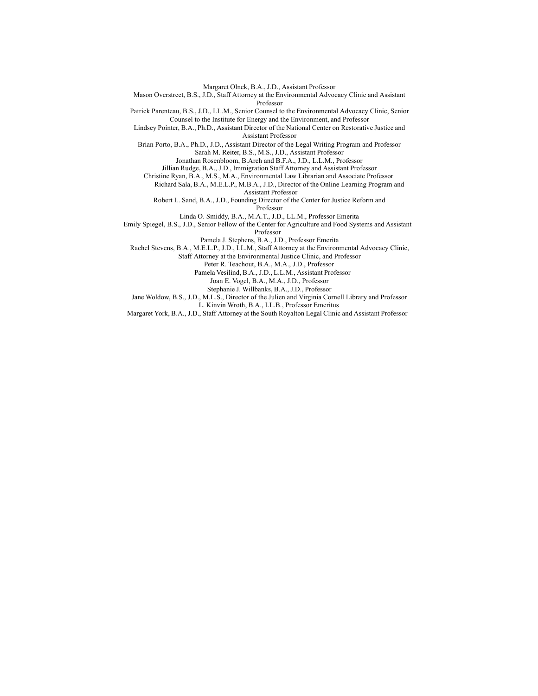Margaret Olnek, B.A., J.D., Assistant Professor

Mason Overstreet, B.S., J.D., Staff Attorney at the Environmental Advocacy Clinic and Assistant Professor

Patrick Parenteau, B.S., J.D., LL.M., Senior Counsel to the Environmental Advocacy Clinic, Senior Counsel to the Institute for Energy and the Environment, and Professor

Lindsey Pointer, B.A., Ph.D., Assistant Director of the National Center on Restorative Justice and Assistant Professor

Brian Porto, B.A., Ph.D., J.D., Assistant Director of the Legal Writing Program and Professor Sarah M. Reiter, B.S., M.S., J.D., Assistant Professor

Jonathan Rosenbloom, B.Arch and B.F.A., J.D., L.L.M., Professor

Jillian Rudge, B.A., J.D., Immigration Staff Attorney and Assistant Professor

Christine Ryan, B.A., M.S., M.A., Environmental Law Librarian and Associate Professor

Richard Sala, B.A., M.E.L.P., M.B.A., J.D., Director of the Online Learning Program and Assistant Professor

Robert L. Sand, B.A., J.D., Founding Director of the Center for Justice Reform and Professor

Linda O. Smiddy, B.A., M.A.T., J.D., LL.M., Professor Emerita Emily Spiegel, B.S., J.D., Senior Fellow of the Center for Agriculture and Food Systems and Assistant

Professor

Pamela J. Stephens, B.A., J.D., Professor Emerita

Rachel Stevens, B.A., M.E.L.P., J.D., LL.M., Staff Attorney at the Environmental Advocacy Clinic,

Staff Attorney at the Environmental Justice Clinic, and Professor

Peter R. Teachout, B.A., M.A., J.D., Professor

Pamela Vesilind, B.A., J.D., L.L.M., Assistant Professor

Joan E. Vogel, B.A., M.A., J.D., Professor

Stephanie J. Willbanks, B.A., J.D., Professor

Jane Woldow, B.S., J.D., M.L.S., Director of the Julien and Virginia Cornell Library and Professor

L. Kinvin Wroth, B.A., LL.B., Professor Emeritus

Margaret York, B.A., J.D., Staff Attorney at the South Royalton Legal Clinic and Assistant Professor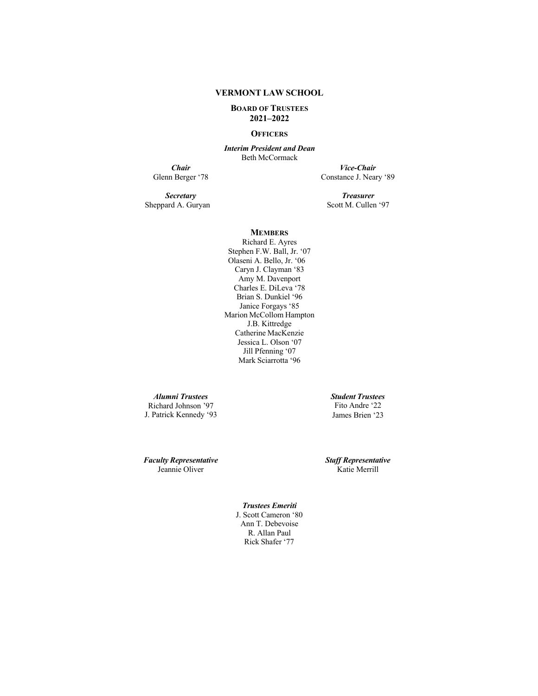#### **VERMONT LAW SCHOOL**

#### **BOARD OF TRUSTEES 2021–2022**

#### **OFFICERS**

*Interim President and Dean* Beth McCormack

**Chair**<br>Glenn Berger '78

*Vice-Chair* Constance J. Neary '89

*Secretary* Sheppard A. Guryan

*Treasurer* Scott M. Cullen '97

### **MEMBERS**

Richard E. Ayres Stephen F.W. Ball, Jr. '07 Olaseni A. Bello, Jr. '06 Caryn J. Clayman '83 Amy M. Davenport Charles E. DiLeva '78 Brian S. Dunkiel '96 Janice Forgays '85 Marion McCollom Hampton J.B. Kittredge Catherine MacKenzie Jessica L. Olson '07 Jill Pfenning '07 Mark Sciarrotta '96

*Alumni Trustees* Richard Johnson '97 J. Patrick Kennedy '93 *Student Trustees* Fito Andre '22 James Brien '23

*Faculty Representative* Jeannie Oliver

*Staff Representative* Katie Merrill

*Trustees Emeriti* J. Scott Cameron '80 Ann T. Debevoise R. Allan Paul Rick Shafer '77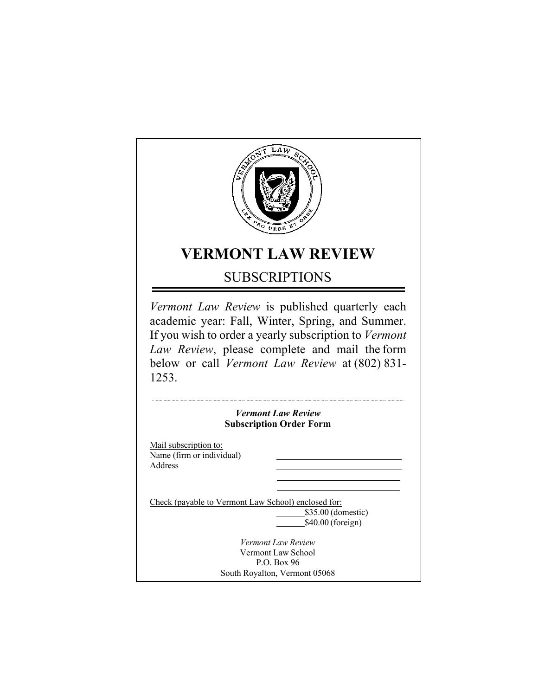

# **VERMONT LAW REVIEW**

## SUBSCRIPTIONS

*Vermont Law Review* is published quarterly each academic year: Fall, Winter, Spring, and Summer. If you wish to order a yearly subscription to *Vermont Law Review*, please complete and mail the form below or call *Vermont Law Review* at (802) 831- 1253.

## *Vermont Law Review* **Subscription Order Form**

Mail subscription to: Name (firm or individual) Address

Check (payable to Vermont Law School) enclosed for:

\$35.00 (domestic) \$40.00 (foreign)

*Vermont Law Review* Vermont Law School P.O. Box 96 South Royalton, Vermont 05068